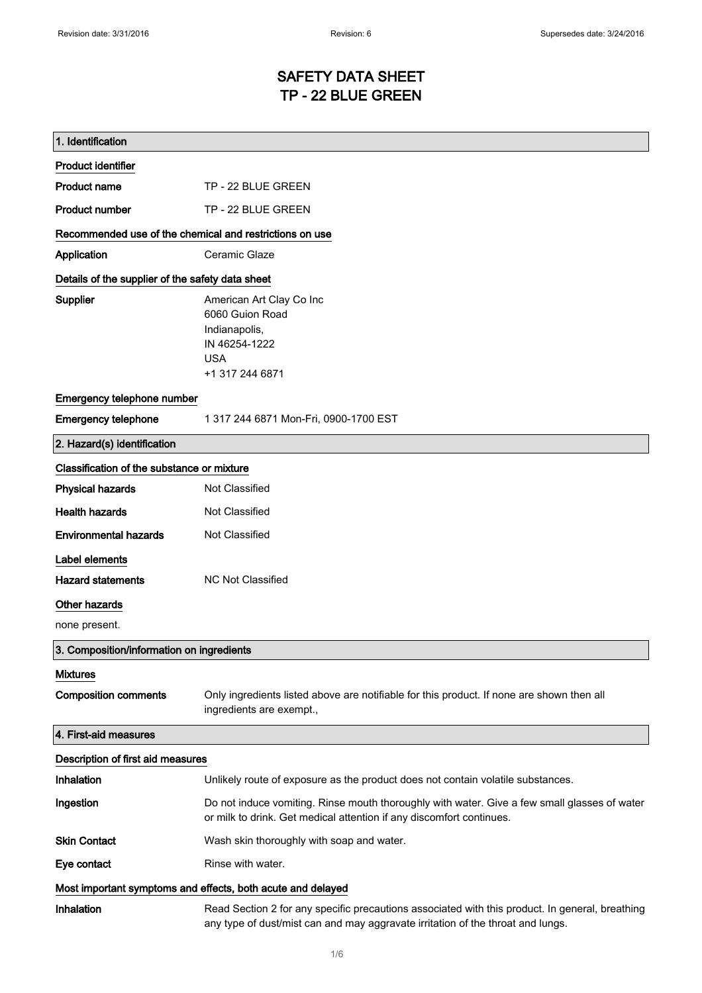# SAFETY DATA SHEET TP - 22 BLUE GREEN

| 1. Identification                                           |                                                                                                                                                                                    |
|-------------------------------------------------------------|------------------------------------------------------------------------------------------------------------------------------------------------------------------------------------|
| <b>Product identifier</b>                                   |                                                                                                                                                                                    |
| <b>Product name</b>                                         | TP - 22 BLUE GREEN                                                                                                                                                                 |
| <b>Product number</b>                                       | TP - 22 BLUE GREEN                                                                                                                                                                 |
| Recommended use of the chemical and restrictions on use     |                                                                                                                                                                                    |
| Application                                                 | Ceramic Glaze                                                                                                                                                                      |
| Details of the supplier of the safety data sheet            |                                                                                                                                                                                    |
| Supplier                                                    | American Art Clay Co Inc<br>6060 Guion Road<br>Indianapolis,<br>IN 46254-1222<br><b>USA</b><br>+1 317 244 6871                                                                     |
| Emergency telephone number                                  |                                                                                                                                                                                    |
| <b>Emergency telephone</b>                                  | 1 317 244 6871 Mon-Fri, 0900-1700 EST                                                                                                                                              |
| 2. Hazard(s) identification                                 |                                                                                                                                                                                    |
| Classification of the substance or mixture                  |                                                                                                                                                                                    |
| <b>Physical hazards</b>                                     | Not Classified                                                                                                                                                                     |
| <b>Health hazards</b>                                       | Not Classified                                                                                                                                                                     |
| <b>Environmental hazards</b>                                | Not Classified                                                                                                                                                                     |
| Label elements                                              |                                                                                                                                                                                    |
| <b>Hazard statements</b>                                    | <b>NC Not Classified</b>                                                                                                                                                           |
| Other hazards                                               |                                                                                                                                                                                    |
| none present.                                               |                                                                                                                                                                                    |
| 3. Composition/information on ingredients                   |                                                                                                                                                                                    |
| <b>Mixtures</b>                                             |                                                                                                                                                                                    |
| <b>Composition comments</b>                                 | Only ingredients listed above are notifiable for this product. If none are shown then all<br>ingredients are exempt.,                                                              |
| 4. First-aid measures                                       |                                                                                                                                                                                    |
| Description of first aid measures                           |                                                                                                                                                                                    |
| Inhalation                                                  | Unlikely route of exposure as the product does not contain volatile substances.                                                                                                    |
| Ingestion                                                   | Do not induce vomiting. Rinse mouth thoroughly with water. Give a few small glasses of water<br>or milk to drink. Get medical attention if any discomfort continues.               |
| <b>Skin Contact</b>                                         | Wash skin thoroughly with soap and water.                                                                                                                                          |
| Eye contact                                                 | Rinse with water.                                                                                                                                                                  |
| Most important symptoms and effects, both acute and delayed |                                                                                                                                                                                    |
| Inhalation                                                  | Read Section 2 for any specific precautions associated with this product. In general, breathing<br>any type of dust/mist can and may aggravate irritation of the throat and lungs. |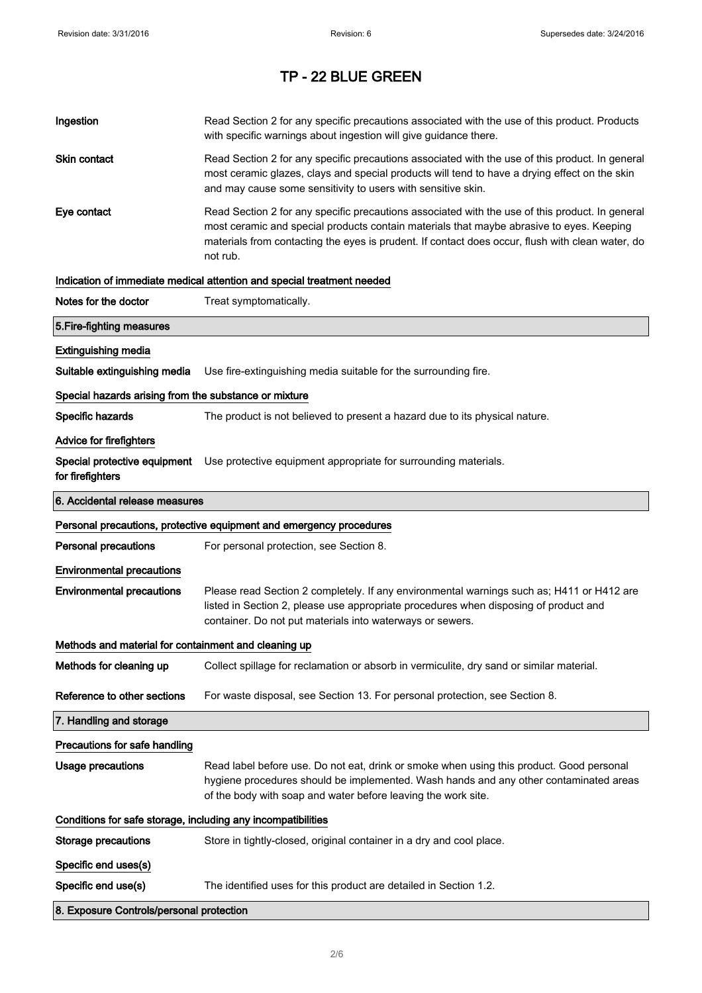| Ingestion                                                    | Read Section 2 for any specific precautions associated with the use of this product. Products<br>with specific warnings about ingestion will give guidance there.                                                                                                                                           |  |
|--------------------------------------------------------------|-------------------------------------------------------------------------------------------------------------------------------------------------------------------------------------------------------------------------------------------------------------------------------------------------------------|--|
| Skin contact                                                 | Read Section 2 for any specific precautions associated with the use of this product. In general<br>most ceramic glazes, clays and special products will tend to have a drying effect on the skin<br>and may cause some sensitivity to users with sensitive skin.                                            |  |
| Eye contact                                                  | Read Section 2 for any specific precautions associated with the use of this product. In general<br>most ceramic and special products contain materials that maybe abrasive to eyes. Keeping<br>materials from contacting the eyes is prudent. If contact does occur, flush with clean water, do<br>not rub. |  |
|                                                              | Indication of immediate medical attention and special treatment needed                                                                                                                                                                                                                                      |  |
| Notes for the doctor                                         | Treat symptomatically.                                                                                                                                                                                                                                                                                      |  |
| 5. Fire-fighting measures                                    |                                                                                                                                                                                                                                                                                                             |  |
| <b>Extinguishing media</b>                                   |                                                                                                                                                                                                                                                                                                             |  |
| Suitable extinguishing media                                 | Use fire-extinguishing media suitable for the surrounding fire.                                                                                                                                                                                                                                             |  |
| Special hazards arising from the substance or mixture        |                                                                                                                                                                                                                                                                                                             |  |
| Specific hazards                                             | The product is not believed to present a hazard due to its physical nature.                                                                                                                                                                                                                                 |  |
| <b>Advice for firefighters</b>                               |                                                                                                                                                                                                                                                                                                             |  |
| for firefighters                                             | Special protective equipment Use protective equipment appropriate for surrounding materials.                                                                                                                                                                                                                |  |
| 6. Accidental release measures                               |                                                                                                                                                                                                                                                                                                             |  |
|                                                              | Personal precautions, protective equipment and emergency procedures                                                                                                                                                                                                                                         |  |
| <b>Personal precautions</b>                                  | For personal protection, see Section 8.                                                                                                                                                                                                                                                                     |  |
| <b>Environmental precautions</b>                             |                                                                                                                                                                                                                                                                                                             |  |
| <b>Environmental precautions</b>                             | Please read Section 2 completely. If any environmental warnings such as; H411 or H412 are<br>listed in Section 2, please use appropriate procedures when disposing of product and<br>container. Do not put materials into waterways or sewers.                                                              |  |
| Methods and material for containment and cleaning up         |                                                                                                                                                                                                                                                                                                             |  |
| Methods for cleaning up                                      | Collect spillage for reclamation or absorb in vermiculite, dry sand or similar material.                                                                                                                                                                                                                    |  |
| Reference to other sections                                  | For waste disposal, see Section 13. For personal protection, see Section 8.                                                                                                                                                                                                                                 |  |
| 7. Handling and storage                                      |                                                                                                                                                                                                                                                                                                             |  |
| Precautions for safe handling                                |                                                                                                                                                                                                                                                                                                             |  |
| Usage precautions                                            | Read label before use. Do not eat, drink or smoke when using this product. Good personal<br>hygiene procedures should be implemented. Wash hands and any other contaminated areas<br>of the body with soap and water before leaving the work site.                                                          |  |
| Conditions for safe storage, including any incompatibilities |                                                                                                                                                                                                                                                                                                             |  |
|                                                              |                                                                                                                                                                                                                                                                                                             |  |
| <b>Storage precautions</b>                                   | Store in tightly-closed, original container in a dry and cool place.                                                                                                                                                                                                                                        |  |
| Specific end uses(s)                                         |                                                                                                                                                                                                                                                                                                             |  |
| Specific end use(s)                                          | The identified uses for this product are detailed in Section 1.2.                                                                                                                                                                                                                                           |  |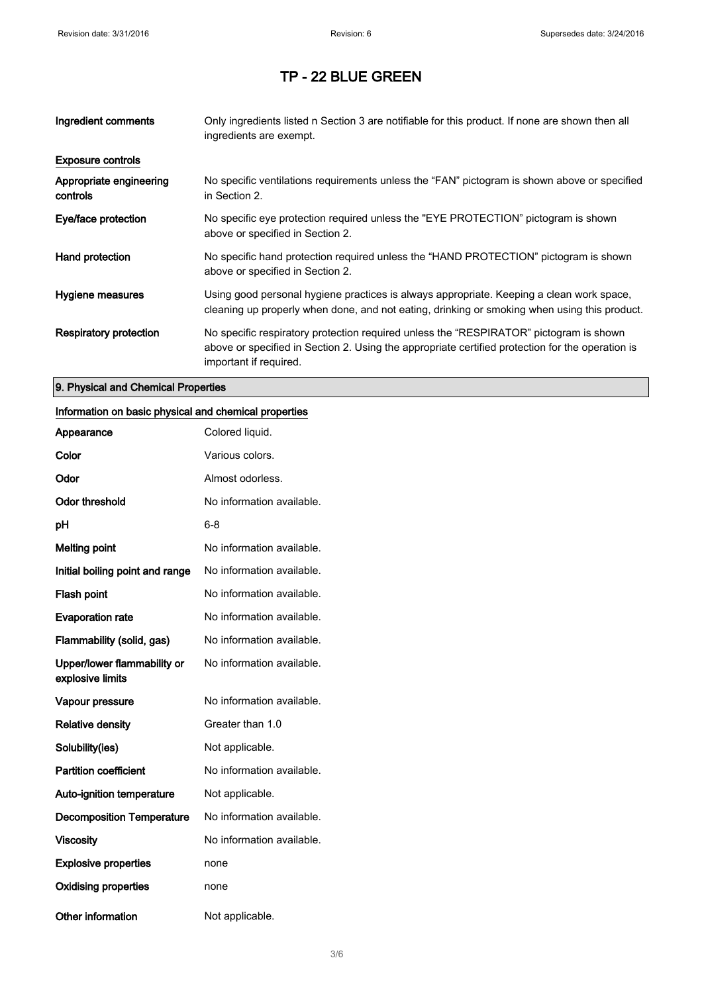| Ingredient comments                 | Only ingredients listed n Section 3 are notifiable for this product. If none are shown then all<br>ingredients are exempt.                                                                                           |
|-------------------------------------|----------------------------------------------------------------------------------------------------------------------------------------------------------------------------------------------------------------------|
| <b>Exposure controls</b>            |                                                                                                                                                                                                                      |
| Appropriate engineering<br>controls | No specific ventilations requirements unless the "FAN" pictogram is shown above or specified<br>in Section 2.                                                                                                        |
| Eye/face protection                 | No specific eye protection required unless the "EYE PROTECTION" pictogram is shown<br>above or specified in Section 2.                                                                                               |
| Hand protection                     | No specific hand protection required unless the "HAND PROTECTION" pictogram is shown<br>above or specified in Section 2.                                                                                             |
| Hygiene measures                    | Using good personal hygiene practices is always appropriate. Keeping a clean work space,<br>cleaning up properly when done, and not eating, drinking or smoking when using this product.                             |
| Respiratory protection              | No specific respiratory protection required unless the "RESPIRATOR" pictogram is shown<br>above or specified in Section 2. Using the appropriate certified protection for the operation is<br>important if required. |

#### 9. Physical and Chemical Properties

### Information on basic physical and chemical properties

| Appearance                                      | Colored liquid.           |
|-------------------------------------------------|---------------------------|
| Color                                           | Various colors.           |
| Odor                                            | Almost odorless.          |
| <b>Odor threshold</b>                           | No information available. |
| рH                                              | 6-8                       |
| <b>Melting point</b>                            | No information available. |
| Initial boiling point and range                 | No information available. |
| Flash point                                     | No information available. |
| <b>Evaporation rate</b>                         | No information available. |
| Flammability (solid, gas)                       | No information available. |
| Upper/lower flammability or<br>explosive limits | No information available. |
| Vapour pressure                                 | No information available. |
| <b>Relative density</b>                         | Greater than 1.0          |
| Solubility(ies)                                 | Not applicable.           |
| <b>Partition coefficient</b>                    | No information available. |
| <b>Auto-ignition temperature</b>                | Not applicable.           |
| <b>Decomposition Temperature</b>                | No information available. |
| <b>Viscosity</b>                                | No information available. |
| <b>Explosive properties</b>                     | none                      |
| <b>Oxidising properties</b>                     | none                      |
| <b>Other information</b>                        | Not applicable.           |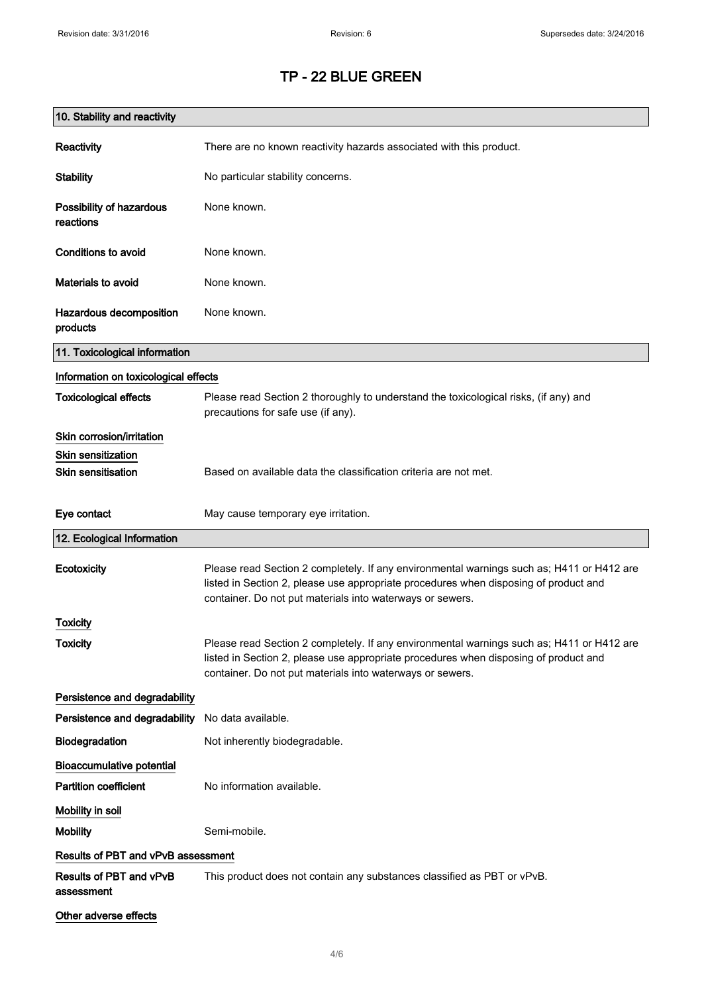| 10. Stability and reactivity          |                                                                                                                                                                                                                                                |
|---------------------------------------|------------------------------------------------------------------------------------------------------------------------------------------------------------------------------------------------------------------------------------------------|
| Reactivity                            | There are no known reactivity hazards associated with this product.                                                                                                                                                                            |
| <b>Stability</b>                      | No particular stability concerns.                                                                                                                                                                                                              |
| Possibility of hazardous<br>reactions | None known.                                                                                                                                                                                                                                    |
| <b>Conditions to avoid</b>            | None known.                                                                                                                                                                                                                                    |
| <b>Materials to avoid</b>             | None known.                                                                                                                                                                                                                                    |
| Hazardous decomposition<br>products   | None known.                                                                                                                                                                                                                                    |
| 11. Toxicological information         |                                                                                                                                                                                                                                                |
| Information on toxicological effects  |                                                                                                                                                                                                                                                |
| <b>Toxicological effects</b>          | Please read Section 2 thoroughly to understand the toxicological risks, (if any) and<br>precautions for safe use (if any).                                                                                                                     |
| Skin corrosion/irritation             |                                                                                                                                                                                                                                                |
| <b>Skin sensitization</b>             |                                                                                                                                                                                                                                                |
| <b>Skin sensitisation</b>             | Based on available data the classification criteria are not met.                                                                                                                                                                               |
| Eye contact                           | May cause temporary eye irritation.                                                                                                                                                                                                            |
| 12. Ecological Information            |                                                                                                                                                                                                                                                |
| Ecotoxicity                           | Please read Section 2 completely. If any environmental warnings such as; H411 or H412 are<br>listed in Section 2, please use appropriate procedures when disposing of product and<br>container. Do not put materials into waterways or sewers. |
| Toxicity                              |                                                                                                                                                                                                                                                |
| <b>Toxicity</b>                       | Please read Section 2 completely. If any environmental warnings such as; H411 or H412 are<br>listed in Section 2, please use appropriate procedures when disposing of product and<br>container. Do not put materials into waterways or sewers. |
| Persistence and degradability         |                                                                                                                                                                                                                                                |
| Persistence and degradability         | No data available.                                                                                                                                                                                                                             |
| Biodegradation                        | Not inherently biodegradable.                                                                                                                                                                                                                  |
| <b>Bioaccumulative potential</b>      |                                                                                                                                                                                                                                                |
| <b>Partition coefficient</b>          | No information available.                                                                                                                                                                                                                      |
| Mobility in soil                      |                                                                                                                                                                                                                                                |
| <b>Mobility</b>                       | Semi-mobile.                                                                                                                                                                                                                                   |
| Results of PBT and vPvB assessment    |                                                                                                                                                                                                                                                |
| Results of PBT and vPvB<br>assessment | This product does not contain any substances classified as PBT or vPvB.                                                                                                                                                                        |
| Other adverse effects                 |                                                                                                                                                                                                                                                |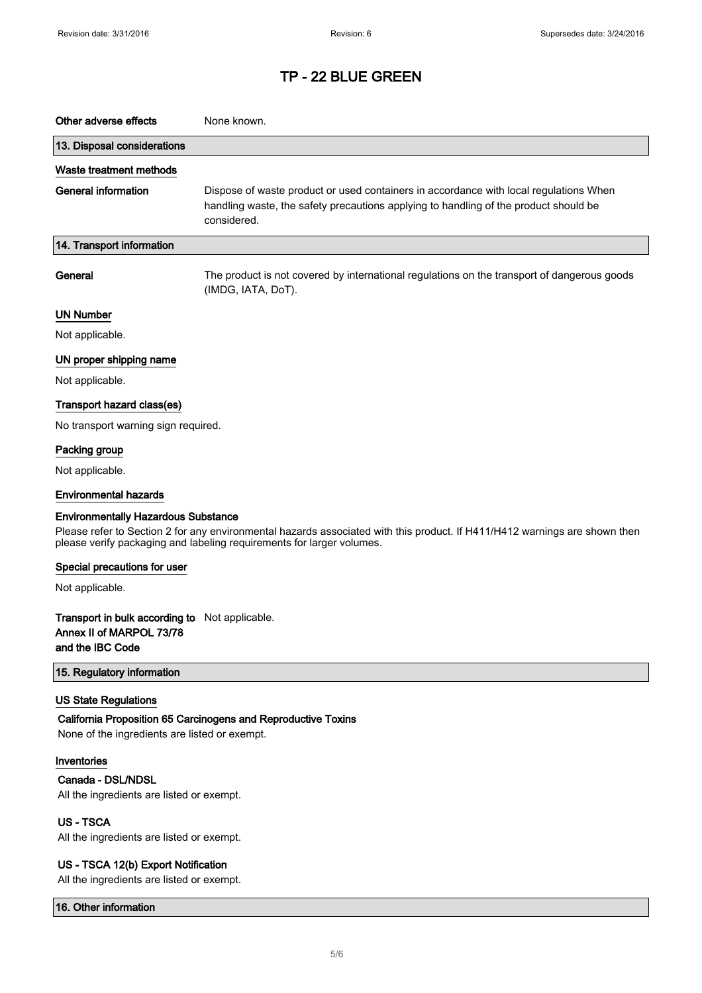| Other adverse effects                                                                          | None known.                                                                                                                                                                                         |
|------------------------------------------------------------------------------------------------|-----------------------------------------------------------------------------------------------------------------------------------------------------------------------------------------------------|
| 13. Disposal considerations                                                                    |                                                                                                                                                                                                     |
| Waste treatment methods                                                                        |                                                                                                                                                                                                     |
| <b>General information</b>                                                                     | Dispose of waste product or used containers in accordance with local regulations When<br>handling waste, the safety precautions applying to handling of the product should be<br>considered.        |
| 14. Transport information                                                                      |                                                                                                                                                                                                     |
| General                                                                                        | The product is not covered by international regulations on the transport of dangerous goods<br>(IMDG, IATA, DoT).                                                                                   |
| <b>UN Number</b>                                                                               |                                                                                                                                                                                                     |
| Not applicable.                                                                                |                                                                                                                                                                                                     |
| UN proper shipping name                                                                        |                                                                                                                                                                                                     |
| Not applicable.                                                                                |                                                                                                                                                                                                     |
| Transport hazard class(es)                                                                     |                                                                                                                                                                                                     |
| No transport warning sign required.                                                            |                                                                                                                                                                                                     |
| Packing group                                                                                  |                                                                                                                                                                                                     |
| Not applicable.                                                                                |                                                                                                                                                                                                     |
| <b>Environmental hazards</b>                                                                   |                                                                                                                                                                                                     |
| <b>Environmentally Hazardous Substance</b>                                                     | Please refer to Section 2 for any environmental hazards associated with this product. If H411/H412 warnings are shown then<br>please verify packaging and labeling requirements for larger volumes. |
| Special precautions for user                                                                   |                                                                                                                                                                                                     |
| Not applicable.                                                                                |                                                                                                                                                                                                     |
| Transport in bulk according to Not applicable.<br>Annex II of MARPOL 73/78<br>and the IBC Code |                                                                                                                                                                                                     |
| 15. Regulatory information                                                                     |                                                                                                                                                                                                     |
| <b>US State Regulations</b><br>None of the ingredients are listed or exempt.                   | California Proposition 65 Carcinogens and Reproductive Toxins                                                                                                                                       |
| Inventories                                                                                    |                                                                                                                                                                                                     |
| Canada - DSL/NDSL<br>All the ingredients are listed or exempt.                                 |                                                                                                                                                                                                     |
| <b>US-TSCA</b><br>All the ingredients are listed or exempt.                                    |                                                                                                                                                                                                     |
| US - TSCA 12(b) Export Notification<br>All the ingredients are listed or exempt.               |                                                                                                                                                                                                     |

16. Other information